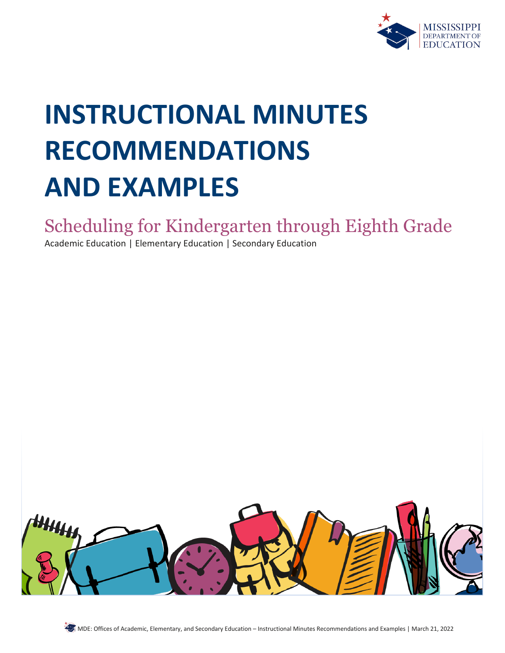

# **INSTRUCTIONAL MINUTES RECOMMENDATIONS AND EXAMPLES**

## Scheduling for Kindergarten through Eighth Grade

Academic Education | Elementary Education | Secondary Education

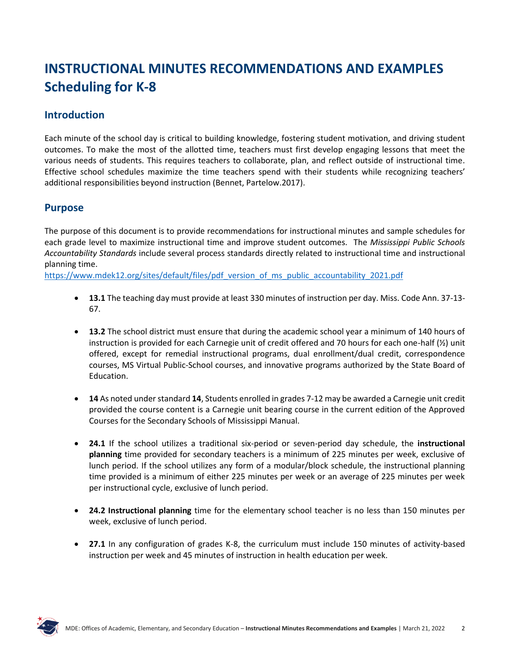## **INSTRUCTIONAL MINUTES RECOMMENDATIONS AND EXAMPLES Scheduling for K-8**

## **Introduction**

Each minute of the school day is critical to building knowledge, fostering student motivation, and driving student outcomes. To make the most of the allotted time, teachers must first develop engaging lessons that meet the various needs of students. This requires teachers to collaborate, plan, and reflect outside of instructional time. Effective school schedules maximize the time teachers spend with their students while recognizing teachers' additional responsibilities beyond instruction (Bennet, Partelow.2017).

#### **Purpose**

The purpose of this document is to provide recommendations for instructional minutes and sample schedules for each grade level to maximize instructional time and improve student outcomes. The *Mississippi Public Schools Accountability Standards* include several process standards directly related to instructional time and instructional planning time.

[https://www.mdek12.org/sites/default/files/pdf\\_version\\_of\\_ms\\_public\\_accountability\\_2021.pdf](https://www.mdek12.org/sites/default/files/pdf_version_of_ms_public_accountability_2021.pdf)

- **13.1** The teaching day must provide at least 330 minutes of instruction per day. Miss. Code Ann. 37-13- 67.
- **13.2** The school district must ensure that during the academic school year a minimum of 140 hours of instruction is provided for each Carnegie unit of credit offered and 70 hours for each one-half (½) unit offered, except for remedial instructional programs, dual enrollment/dual credit, correspondence courses, MS Virtual Public-School courses, and innovative programs authorized by the State Board of Education.
- **14** As noted under standard **14**, Students enrolled in grades 7-12 may be awarded a Carnegie unit credit provided the course content is a Carnegie unit bearing course in the current edition of the Approved Courses for the Secondary Schools of Mississippi Manual.
- **24.1** If the school utilizes a traditional six-period or seven-period day schedule, the **instructional planning** time provided for secondary teachers is a minimum of 225 minutes per week, exclusive of lunch period. If the school utilizes any form of a modular/block schedule, the instructional planning time provided is a minimum of either 225 minutes per week or an average of 225 minutes per week per instructional cycle, exclusive of lunch period.
- **24.2 Instructional planning** time for the elementary school teacher is no less than 150 minutes per week, exclusive of lunch period.
- **27.1** In any configuration of grades K-8, the curriculum must include 150 minutes of activity-based instruction per week and 45 minutes of instruction in health education per week.

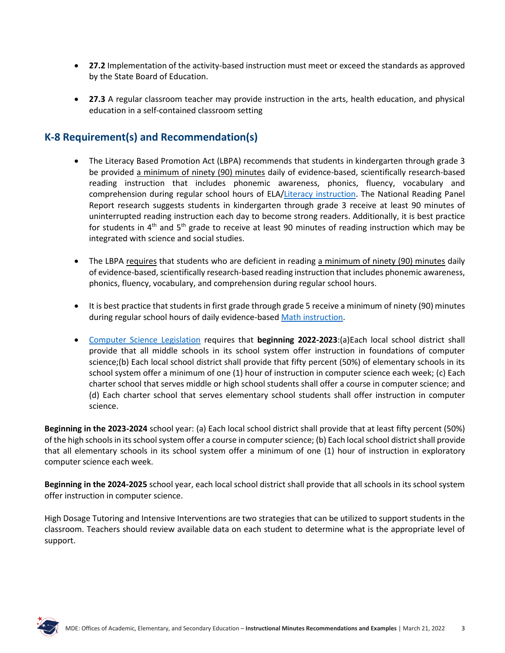- **27.2** Implementation of the activity-based instruction must meet or exceed the standards as approved by the State Board of Education.
- **27.3** A regular classroom teacher may provide instruction in the arts, health education, and physical education in a self-contained classroom setting

## **K-8 Requirement(s) and Recommendation(s)**

- The Literacy Based Promotion Act (LBPA) recommends that students in kindergarten through grade 3 be provided a minimum of ninety (90) minutes daily of evidence-based, scientifically research-based reading instruction that includes phonemic awareness, phonics, fluency, vocabulary and comprehension during regular school hours of ELA[/Literacy instruction.](https://www.mdek12.org/sites/default/files/Offices/MDE/OAE/OEER/Literacy/11.13.19_literacy_block_formatted.pdf) The National Reading Panel Report research suggests students in kindergarten through grade 3 receive at least 90 minutes of uninterrupted reading instruction each day to become strong readers. Additionally, it is best practice for students in  $4<sup>th</sup>$  and  $5<sup>th</sup>$  grade to receive at least 90 minutes of reading instruction which may be integrated with science and social studies.
- The LBPA requires that students who are deficient in reading a minimum of ninety (90) minutes daily of evidence-based, scientifically research-based reading instruction that includes phonemic awareness, phonics, fluency, vocabulary, and comprehension during regular school hours.
- It is best practice that students in first grade through grade 5 receive a minimum of ninety (90) minutes during regular school hours of daily evidence-based [Math instruction.](https://mdek12.org/secondaryeducation/mathematics/Instructional-Planning-Guides-for-Mathematics-K-12)
- [Computer Science](https://legiscan.com/MS/text/HB633/id/2291429) Legislation requires that **beginning 2022-2023**:(a)Each local school district shall provide that all middle schools in its school system offer instruction in foundations of computer science;(b) Each local school district shall provide that fifty percent (50%) of elementary schools in its school system offer a minimum of one (1) hour of instruction in computer science each week; (c) Each charter school that serves middle or high school students shall offer a course in computer science; and (d) Each charter school that serves elementary school students shall offer instruction in computer science.

**Beginning in the 2023-2024** school year: (a) Each local school district shall provide that at least fifty percent (50%) of the high schools in its school system offer a course in computer science; (b) Each local school district shall provide that all elementary schools in its school system offer a minimum of one (1) hour of instruction in exploratory computer science each week.

**Beginning in the 2024-2025** school year, each local school district shall provide that all schools in its school system offer instruction in computer science.

High Dosage Tutoring and Intensive Interventions are two strategies that can be utilized to support students in the classroom. Teachers should review available data on each student to determine what is the appropriate level of support.

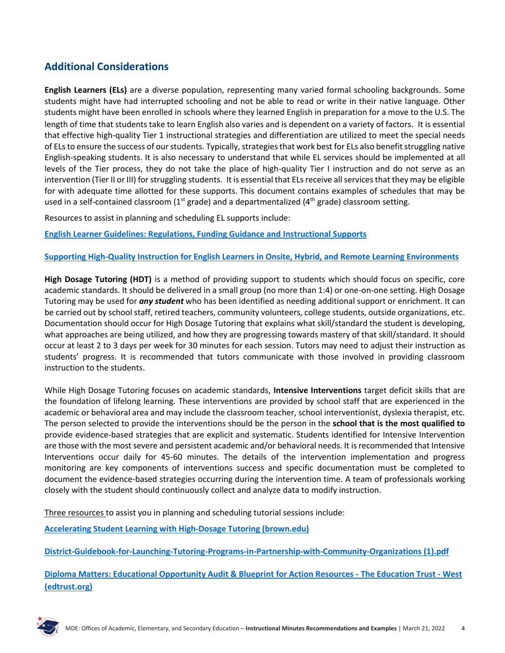## **Additional Considerations**

**English Learners (ELs)** are a diverse population, representing many varied formal schooling backgrounds. Some students might have had interrupted schooling and not be able to read or write in their native language. Other students might have been enrolled in schools where they learned English in preparation for a move to the U.S. The length of time that students take to learn English also varies and is dependent on a variety of factors. It is essential that effective high-quality Tier 1 instructional strategies and differentiation are utilized to meet the special needs of ELs to ensure the success of our students. Typically, strategies that work best for ELs also benefit struggling native English-speaking students. It is also necessary to understand that while EL services should be implemented at all levels of the Tier process, they do not take the place of high-quality Tier I instruction and do not serve as an intervention (Tier II or III) for struggling students. It is essential that ELs receive all services that they may be eligible for with adequate time allotted for these supports. This document contains examples of schedules that may be used in a self-contained classroom  $(1<sup>st</sup> grade)$  and a departmentalized  $(4<sup>th</sup> grade)$  classroom setting.

Resources to assist in planning and scheduling EL supports include:

**[English Learner Guidelines: Regulations, Funding Guidance and](https://www.mdek12.org/sites/default/files/Offices/MDE/OAE/OEER/EL/EL%20Guidance%2C%20Funding%2C%20and%20Instructional%20Supports_combinedAug2018.pdf) Instructional Supports**

#### **[Supporting High-Quality Instruction for English Learners in Onsite, Hybrid, and Remote Learning Environments](https://www.mdek12.org/sites/default/files/Offices/MDE/OAE/OEER/EL/ms_supporting_high-quality_instruction_for_english_learners_ms.pdf)**

**High Dosage Tutoring (HDT)** is a method of providing support to students which should focus on specific, core academic standards. It should be delivered in a small group (no more than 1:4) or one-on-one setting. High Dosage Tutoring may be used for *any student* who has been identified as needing additional support or enrichment. It can be carried out by school staff, retired teachers, community volunteers, college students, outside organizations, etc. Documentation should occur for High Dosage Tutoring that explains what skill/standard the student is developing, what approaches are being utilized, and how they are progressing towards mastery of that skill/standard. It should occur at least 2 to 3 days per week for 30 minutes for each session. Tutors may need to adjust their instruction as students' progress. It is recommended that tutors communicate with those involved in providing classroom instruction to the students.

While High Dosage Tutoring focuses on academic standards, **Intensive Interventions** target deficit skills that are the foundation of lifelong learning. These interventions are provided by school staff that are experienced in the academic or behavioral area and may include the classroom teacher, school interventionist, dyslexia therapist, etc. The person selected to provide the interventions should be the person in the **school that is the most qualified to**  provide evidence-based strategies that are explicit and systematic. Students identified for Intensive Intervention are those with the most severe and persistent academic and/or behavioral needs. It is recommended that Intensive Interventions occur daily for 45-60 minutes. The details of the intervention implementation and progress monitoring are key components of interventions success and specific documentation must be completed to document the evidence-based strategies occurring during the intervention time. A team of professionals working closely with the student should continuously collect and analyze data to modify instruction.

Three resources to assist you in planning and scheduling tutorial sessions include:

**Accelerating Student Learning with [High-Dosage](https://annenberg.brown.edu/sites/default/files/EdResearch_for_Recovery_Design_Principles_1.pdf) Tutoring (brown.edu)**

**[District-Guidebook-for-Launching-Tutoring-Programs-in-Partnership-with-Community-Organizations \(1\).pdf](file:///C:/Users/kbent/Downloads/District-Guidebook-for-Launching-Tutoring-Programs-in-Partnership-with-Community-Organizations%20(1).pdf)**

**[Diploma Matters: Educational Opportunity Audit & Blueprint for Action Resources -](https://west.edtrust.org/diploma-matters-educational-opportunity-audit-blueprint-for-action-resources/) The Education Trust - West [\(edtrust.org\)](https://west.edtrust.org/diploma-matters-educational-opportunity-audit-blueprint-for-action-resources/)**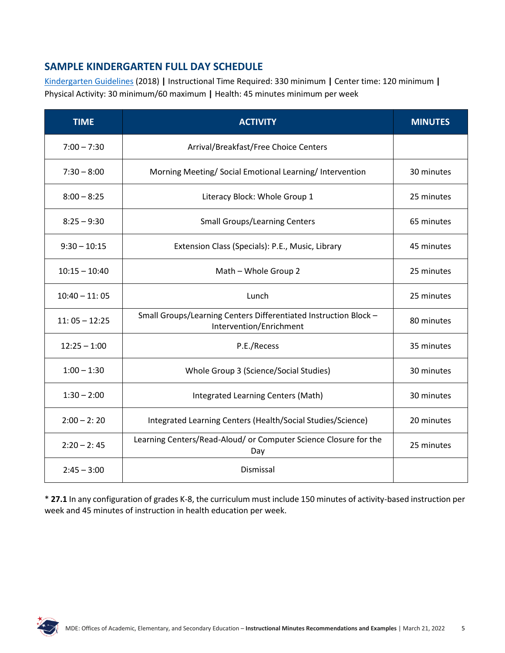## **SAMPLE KINDERGARTEN FULL DAY SCHEDULE**

[Kindergarten Guidelines](https://www.mdek12.org/sites/default/files/apa_k_guidelines_final_9-20-18.pdf) (2018) **|** Instructional Time Required: 330 minimum **|** Center time: 120 minimum **|**  Physical Activity: 30 minimum/60 maximum **|** Health: 45 minutes minimum per week

| <b>TIME</b>     | <b>ACTIVITY</b>                                                                             | <b>MINUTES</b> |
|-----------------|---------------------------------------------------------------------------------------------|----------------|
| $7:00 - 7:30$   | Arrival/Breakfast/Free Choice Centers                                                       |                |
| $7:30 - 8:00$   | Morning Meeting/ Social Emotional Learning/ Intervention                                    | 30 minutes     |
| $8:00 - 8:25$   | Literacy Block: Whole Group 1                                                               | 25 minutes     |
| $8:25 - 9:30$   | <b>Small Groups/Learning Centers</b>                                                        | 65 minutes     |
| $9:30 - 10:15$  | Extension Class (Specials): P.E., Music, Library                                            | 45 minutes     |
| $10:15 - 10:40$ | Math - Whole Group 2                                                                        | 25 minutes     |
| $10:40 - 11:05$ | Lunch                                                                                       | 25 minutes     |
| $11:05 - 12:25$ | Small Groups/Learning Centers Differentiated Instruction Block -<br>Intervention/Enrichment | 80 minutes     |
| $12:25 - 1:00$  | P.E./Recess                                                                                 | 35 minutes     |
| $1:00 - 1:30$   | Whole Group 3 (Science/Social Studies)                                                      | 30 minutes     |
| $1:30 - 2:00$   | Integrated Learning Centers (Math)                                                          | 30 minutes     |
| $2:00 - 2:20$   | Integrated Learning Centers (Health/Social Studies/Science)<br>20 minutes                   |                |
| $2:20 - 2:45$   | Learning Centers/Read-Aloud/ or Computer Science Closure for the<br>25 minutes<br>Day       |                |
| $2:45 - 3:00$   | Dismissal                                                                                   |                |

\* **27.1** In any configuration of grades K-8, the curriculum must include 150 minutes of activity-based instruction per week and 45 minutes of instruction in health education per week.

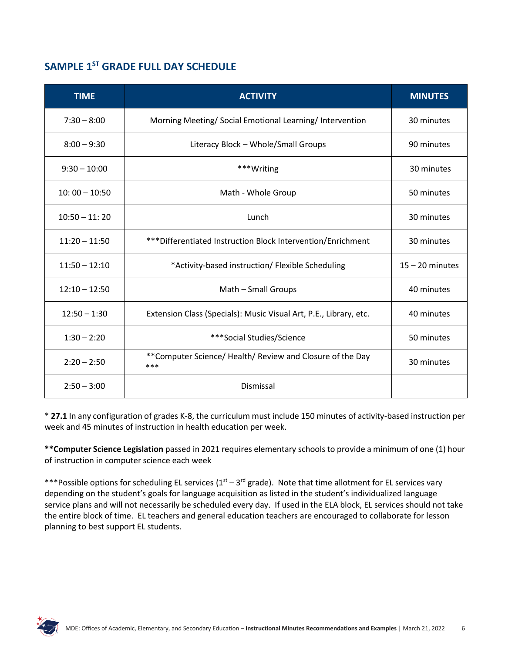## **SAMPLE 1ST GRADE FULL DAY SCHEDULE**

| <b>TIME</b>     | <b>ACTIVITY</b>                                                   | <b>MINUTES</b>    |
|-----------------|-------------------------------------------------------------------|-------------------|
| $7:30 - 8:00$   | Morning Meeting/ Social Emotional Learning/ Intervention          | 30 minutes        |
| $8:00 - 9:30$   | Literacy Block - Whole/Small Groups                               | 90 minutes        |
| $9:30 - 10:00$  | ***Writing                                                        | 30 minutes        |
| $10:00 - 10:50$ | Math - Whole Group                                                | 50 minutes        |
| $10:50 - 11:20$ | Lunch                                                             | 30 minutes        |
| $11:20 - 11:50$ | *** Differentiated Instruction Block Intervention/Enrichment      | 30 minutes        |
| $11:50 - 12:10$ | *Activity-based instruction/ Flexible Scheduling                  | $15 - 20$ minutes |
| $12:10 - 12:50$ | Math - Small Groups                                               | 40 minutes        |
| $12:50 - 1:30$  | Extension Class (Specials): Music Visual Art, P.E., Library, etc. | 40 minutes        |
| $1:30 - 2:20$   | ***Social Studies/Science                                         | 50 minutes        |
| $2:20 - 2:50$   | **Computer Science/ Health/ Review and Closure of the Day<br>***  | 30 minutes        |
| $2:50 - 3:00$   | Dismissal                                                         |                   |

\* **27.1** In any configuration of grades K-8, the curriculum must include 150 minutes of activity-based instruction per week and 45 minutes of instruction in health education per week.

**\*\*Computer Science Legislation** passed in 2021 requires elementary schools to provide a minimum of one (1) hour of instruction in computer science each week

\*\*\*Possible options for scheduling EL services  $(1<sup>st</sup> - 3<sup>rd</sup>$  grade). Note that time allotment for EL services vary depending on the student's goals for language acquisition as listed in the student's individualized language service plans and will not necessarily be scheduled every day. If used in the ELA block, EL services should not take the entire block of time. EL teachers and general education teachers are encouraged to collaborate for lesson planning to best support EL students.

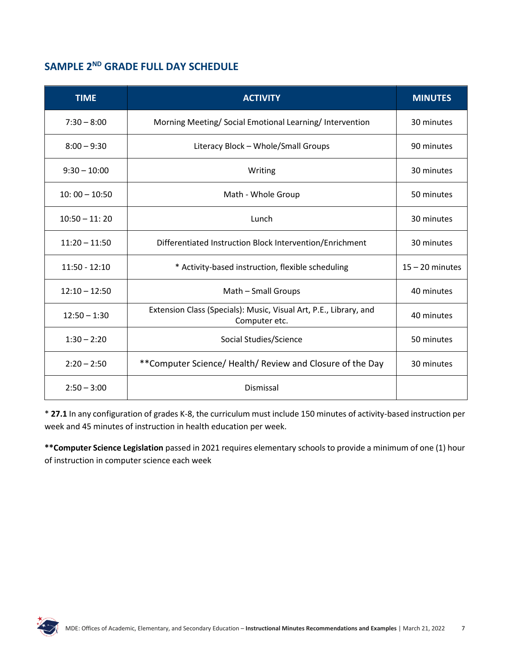## **SAMPLE 2ND GRADE FULL DAY SCHEDULE**

| <b>TIME</b>     | <b>ACTIVITY</b>                                                                    | <b>MINUTES</b>    |
|-----------------|------------------------------------------------------------------------------------|-------------------|
| $7:30 - 8:00$   | Morning Meeting/Social Emotional Learning/Intervention                             | 30 minutes        |
| $8:00 - 9:30$   | Literacy Block - Whole/Small Groups                                                | 90 minutes        |
| $9:30 - 10:00$  | Writing                                                                            | 30 minutes        |
| $10:00 - 10:50$ | Math - Whole Group                                                                 | 50 minutes        |
| $10:50 - 11:20$ | Lunch                                                                              | 30 minutes        |
| $11:20 - 11:50$ | Differentiated Instruction Block Intervention/Enrichment                           | 30 minutes        |
| $11:50 - 12:10$ | * Activity-based instruction, flexible scheduling                                  | $15 - 20$ minutes |
| $12:10 - 12:50$ | Math - Small Groups                                                                | 40 minutes        |
| $12:50 - 1:30$  | Extension Class (Specials): Music, Visual Art, P.E., Library, and<br>Computer etc. | 40 minutes        |
| $1:30 - 2:20$   | Social Studies/Science                                                             | 50 minutes        |
| $2:20 - 2:50$   | **Computer Science/ Health/ Review and Closure of the Day                          | 30 minutes        |
| $2:50 - 3:00$   | Dismissal                                                                          |                   |

\* **27.1** In any configuration of grades K-8, the curriculum must include 150 minutes of activity-based instruction per week and 45 minutes of instruction in health education per week.

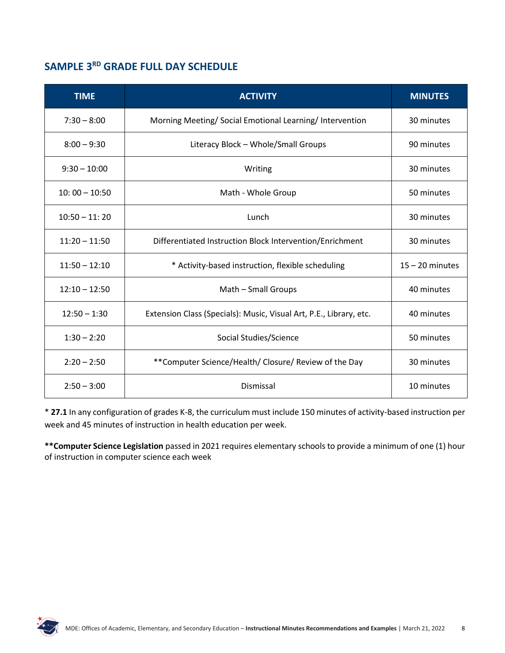## **SAMPLE 3RD GRADE FULL DAY SCHEDULE**

| <b>TIME</b>     | <b>ACTIVITY</b>                                                    | <b>MINUTES</b>    |
|-----------------|--------------------------------------------------------------------|-------------------|
| $7:30 - 8:00$   | Morning Meeting/ Social Emotional Learning/ Intervention           | 30 minutes        |
| $8:00 - 9:30$   | Literacy Block - Whole/Small Groups                                | 90 minutes        |
| $9:30 - 10:00$  | Writing                                                            | 30 minutes        |
| $10:00 - 10:50$ | Math - Whole Group                                                 | 50 minutes        |
| $10:50 - 11:20$ | Lunch                                                              | 30 minutes        |
| $11:20 - 11:50$ | Differentiated Instruction Block Intervention/Enrichment           | 30 minutes        |
| $11:50 - 12:10$ | * Activity-based instruction, flexible scheduling                  | $15 - 20$ minutes |
| $12:10 - 12:50$ | Math - Small Groups                                                | 40 minutes        |
| $12:50 - 1:30$  | Extension Class (Specials): Music, Visual Art, P.E., Library, etc. | 40 minutes        |
| $1:30 - 2:20$   | Social Studies/Science                                             | 50 minutes        |
| $2:20 - 2:50$   | ** Computer Science/Health/ Closure/ Review of the Day             | 30 minutes        |
| $2:50 - 3:00$   | Dismissal                                                          | 10 minutes        |

\* **27.1** In any configuration of grades K-8, the curriculum must include 150 minutes of activity-based instruction per week and 45 minutes of instruction in health education per week.

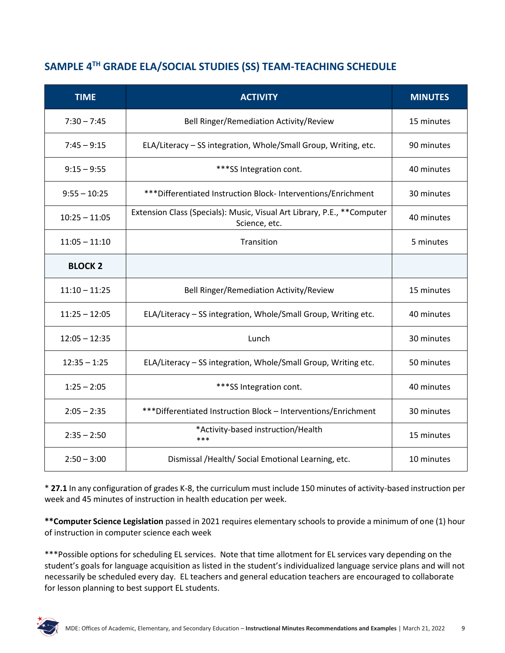## **SAMPLE 4TH GRADE ELA/SOCIAL STUDIES (SS) TEAM-TEACHING SCHEDULE**

| <b>TIME</b>     | <b>ACTIVITY</b>                                                                           | <b>MINUTES</b> |
|-----------------|-------------------------------------------------------------------------------------------|----------------|
| $7:30 - 7:45$   | Bell Ringer/Remediation Activity/Review                                                   | 15 minutes     |
| $7:45 - 9:15$   | ELA/Literacy - SS integration, Whole/Small Group, Writing, etc.                           | 90 minutes     |
| $9:15 - 9:55$   | ***SS Integration cont.                                                                   | 40 minutes     |
| $9:55 - 10:25$  | *** Differentiated Instruction Block- Interventions/Enrichment                            | 30 minutes     |
| $10:25 - 11:05$ | Extension Class (Specials): Music, Visual Art Library, P.E., ** Computer<br>Science, etc. | 40 minutes     |
| $11:05 - 11:10$ | Transition                                                                                | 5 minutes      |
| <b>BLOCK 2</b>  |                                                                                           |                |
| $11:10 - 11:25$ | Bell Ringer/Remediation Activity/Review                                                   | 15 minutes     |
| $11:25 - 12:05$ | ELA/Literacy - SS integration, Whole/Small Group, Writing etc.                            | 40 minutes     |
| $12:05 - 12:35$ | Lunch                                                                                     | 30 minutes     |
| $12:35 - 1:25$  | ELA/Literacy - SS integration, Whole/Small Group, Writing etc.                            | 50 minutes     |
| $1:25 - 2:05$   | ***SS Integration cont.                                                                   | 40 minutes     |
| $2:05 - 2:35$   | *** Differentiated Instruction Block - Interventions/Enrichment                           | 30 minutes     |
| $2:35 - 2:50$   | *Activity-based instruction/Health<br>***                                                 | 15 minutes     |
| $2:50 - 3:00$   | Dismissal /Health/ Social Emotional Learning, etc.                                        | 10 minutes     |

\* **27.1** In any configuration of grades K-8, the curriculum must include 150 minutes of activity-based instruction per week and 45 minutes of instruction in health education per week.

**\*\*Computer Science Legislation** passed in 2021 requires elementary schools to provide a minimum of one (1) hour of instruction in computer science each week

\*\*\*Possible options for scheduling EL services. Note that time allotment for EL services vary depending on the student's goals for language acquisition as listed in the student's individualized language service plans and will not necessarily be scheduled every day. EL teachers and general education teachers are encouraged to collaborate for lesson planning to best support EL students.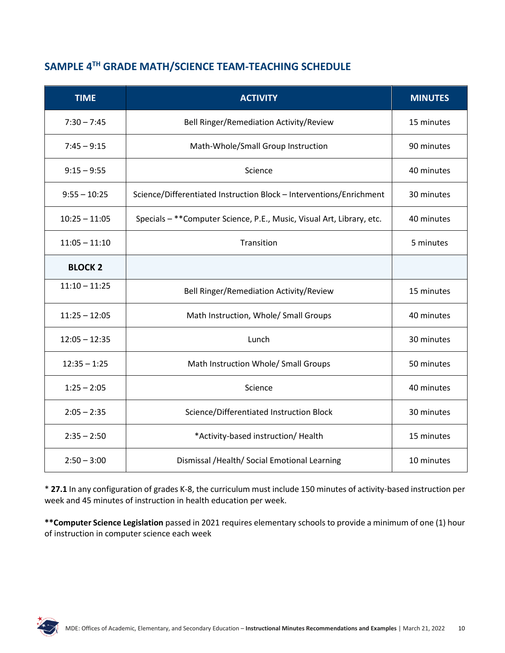## **SAMPLE 4TH GRADE MATH/SCIENCE TEAM-TEACHING SCHEDULE**

| <b>TIME</b>     | <b>ACTIVITY</b>                                                        | <b>MINUTES</b> |
|-----------------|------------------------------------------------------------------------|----------------|
| $7:30 - 7:45$   | Bell Ringer/Remediation Activity/Review                                | 15 minutes     |
| $7:45 - 9:15$   | Math-Whole/Small Group Instruction                                     | 90 minutes     |
| $9:15 - 9:55$   | Science                                                                | 40 minutes     |
| $9:55 - 10:25$  | Science/Differentiated Instruction Block - Interventions/Enrichment    | 30 minutes     |
| $10:25 - 11:05$ | Specials - ** Computer Science, P.E., Music, Visual Art, Library, etc. | 40 minutes     |
| $11:05 - 11:10$ | Transition                                                             | 5 minutes      |
| <b>BLOCK 2</b>  |                                                                        |                |
| $11:10 - 11:25$ | Bell Ringer/Remediation Activity/Review                                | 15 minutes     |
| $11:25 - 12:05$ | Math Instruction, Whole/ Small Groups                                  | 40 minutes     |
| $12:05 - 12:35$ | Lunch                                                                  | 30 minutes     |
| $12:35 - 1:25$  | Math Instruction Whole/ Small Groups                                   | 50 minutes     |
| $1:25 - 2:05$   | Science                                                                | 40 minutes     |
| $2:05 - 2:35$   | Science/Differentiated Instruction Block                               | 30 minutes     |
| $2:35 - 2:50$   | *Activity-based instruction/ Health<br>15 minutes                      |                |
| $2:50 - 3:00$   | 10 minutes<br>Dismissal /Health/ Social Emotional Learning             |                |

\* **27.1** In any configuration of grades K-8, the curriculum must include 150 minutes of activity-based instruction per week and 45 minutes of instruction in health education per week.

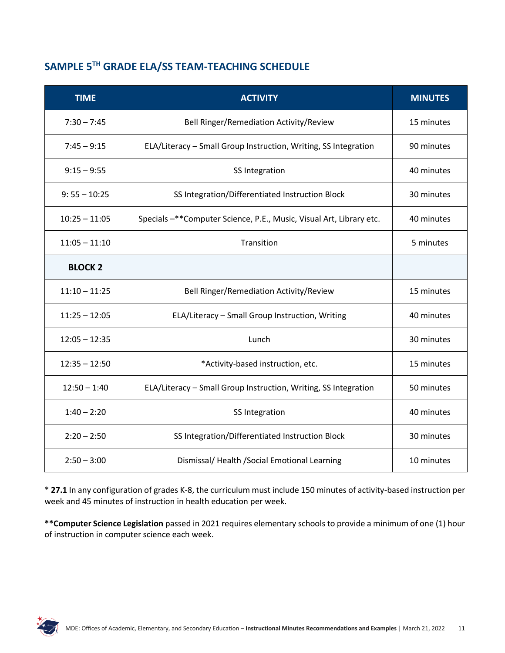## **SAMPLE 5TH GRADE ELA/SS TEAM-TEACHING SCHEDULE**

| <b>TIME</b>     | <b>ACTIVITY</b>                                                      | <b>MINUTES</b> |
|-----------------|----------------------------------------------------------------------|----------------|
| $7:30 - 7:45$   | Bell Ringer/Remediation Activity/Review                              | 15 minutes     |
| $7:45 - 9:15$   | ELA/Literacy - Small Group Instruction, Writing, SS Integration      | 90 minutes     |
| $9:15 - 9:55$   | SS Integration                                                       | 40 minutes     |
| $9:55 - 10:25$  | SS Integration/Differentiated Instruction Block                      | 30 minutes     |
| $10:25 - 11:05$ | Specials -** Computer Science, P.E., Music, Visual Art, Library etc. | 40 minutes     |
| $11:05 - 11:10$ | Transition                                                           | 5 minutes      |
| <b>BLOCK 2</b>  |                                                                      |                |
| $11:10 - 11:25$ | Bell Ringer/Remediation Activity/Review                              | 15 minutes     |
| $11:25 - 12:05$ | ELA/Literacy - Small Group Instruction, Writing                      | 40 minutes     |
| $12:05 - 12:35$ | Lunch                                                                | 30 minutes     |
| $12:35 - 12:50$ | *Activity-based instruction, etc.                                    | 15 minutes     |
| $12:50 - 1:40$  | ELA/Literacy - Small Group Instruction, Writing, SS Integration      | 50 minutes     |
| $1:40 - 2:20$   | SS Integration                                                       | 40 minutes     |
| $2:20 - 2:50$   | SS Integration/Differentiated Instruction Block                      | 30 minutes     |
| $2:50 - 3:00$   | Dismissal/Health/Social Emotional Learning<br>10 minutes             |                |

\* **27.1** In any configuration of grades K-8, the curriculum must include 150 minutes of activity-based instruction per week and 45 minutes of instruction in health education per week.

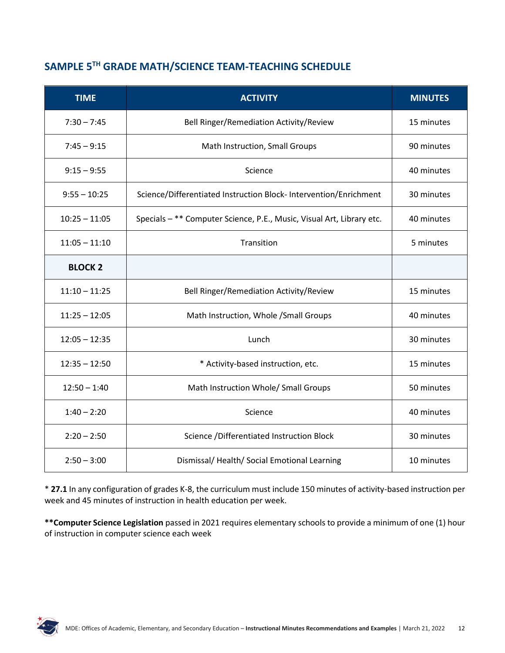## **SAMPLE 5TH GRADE MATH/SCIENCE TEAM-TEACHING SCHEDULE**

| <b>TIME</b>     | <b>ACTIVITY</b>                                                       | <b>MINUTES</b> |
|-----------------|-----------------------------------------------------------------------|----------------|
| $7:30 - 7:45$   | Bell Ringer/Remediation Activity/Review                               | 15 minutes     |
| $7:45 - 9:15$   | Math Instruction, Small Groups                                        | 90 minutes     |
| $9:15 - 9:55$   | Science                                                               | 40 minutes     |
| $9:55 - 10:25$  | Science/Differentiated Instruction Block- Intervention/Enrichment     | 30 minutes     |
| $10:25 - 11:05$ | Specials - ** Computer Science, P.E., Music, Visual Art, Library etc. | 40 minutes     |
| $11:05 - 11:10$ | Transition                                                            | 5 minutes      |
| <b>BLOCK 2</b>  |                                                                       |                |
| $11:10 - 11:25$ | Bell Ringer/Remediation Activity/Review                               | 15 minutes     |
| $11:25 - 12:05$ | Math Instruction, Whole / Small Groups                                | 40 minutes     |
| $12:05 - 12:35$ | Lunch                                                                 | 30 minutes     |
| $12:35 - 12:50$ | * Activity-based instruction, etc.                                    | 15 minutes     |
| $12:50 - 1:40$  | Math Instruction Whole/ Small Groups                                  | 50 minutes     |
| $1:40 - 2:20$   | Science                                                               | 40 minutes     |
| $2:20 - 2:50$   | Science / Differentiated Instruction Block                            | 30 minutes     |
| $2:50 - 3:00$   | Dismissal/Health/Social Emotional Learning                            | 10 minutes     |

\* **27.1** In any configuration of grades K-8, the curriculum must include 150 minutes of activity-based instruction per week and 45 minutes of instruction in health education per week.

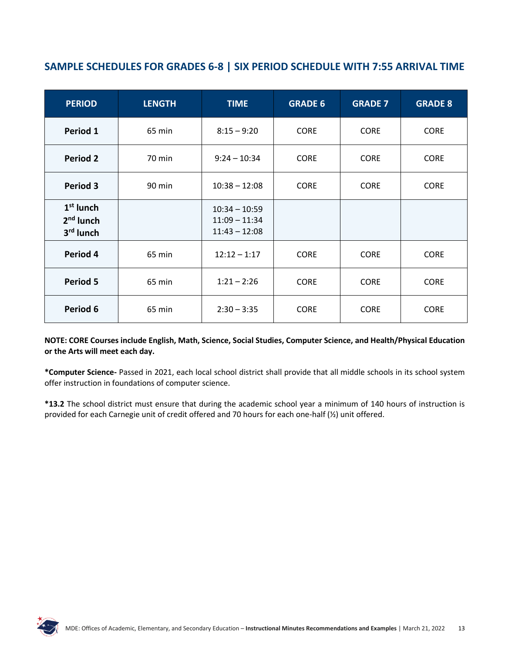## **SAMPLE SCHEDULES FOR GRADES 6-8 | SIX PERIOD SCHEDULE WITH 7:55 ARRIVAL TIME**

| <b>PERIOD</b>                           | <b>LENGTH</b> | <b>TIME</b>                                           | <b>GRADE 6</b> | <b>GRADE 7</b> | <b>GRADE 8</b> |
|-----------------------------------------|---------------|-------------------------------------------------------|----------------|----------------|----------------|
| Period 1                                | 65 min        | $8:15 - 9:20$                                         | <b>CORE</b>    | <b>CORE</b>    | <b>CORE</b>    |
| <b>Period 2</b>                         | 70 min        | $9:24 - 10:34$                                        | <b>CORE</b>    | <b>CORE</b>    | <b>CORE</b>    |
| Period 3                                | 90 min        | $10:38 - 12:08$                                       | <b>CORE</b>    | <b>CORE</b>    | <b>CORE</b>    |
| $1st$ lunch<br>$2nd$ lunch<br>3rd lunch |               | $10:34 - 10:59$<br>$11:09 - 11:34$<br>$11:43 - 12:08$ |                |                |                |
| Period 4                                | 65 min        | $12:12 - 1:17$                                        | <b>CORE</b>    | <b>CORE</b>    | <b>CORE</b>    |
| Period 5                                | 65 min        | $1:21 - 2:26$                                         | <b>CORE</b>    | <b>CORE</b>    | <b>CORE</b>    |
| Period 6                                | 65 min        | $2:30 - 3:35$                                         | <b>CORE</b>    | <b>CORE</b>    | <b>CORE</b>    |

#### **NOTE: CORE Courses include English, Math, Science, Social Studies, Computer Science, and Health/Physical Education or the Arts will meet each day.**

**\*Computer Science-** Passed in 2021, each local school district shall provide that all middle schools in its school system offer instruction in foundations of computer science.

**\*13.2** The school district must ensure that during the academic school year a minimum of 140 hours of instruction is provided for each Carnegie unit of credit offered and 70 hours for each one-half (½) unit offered.

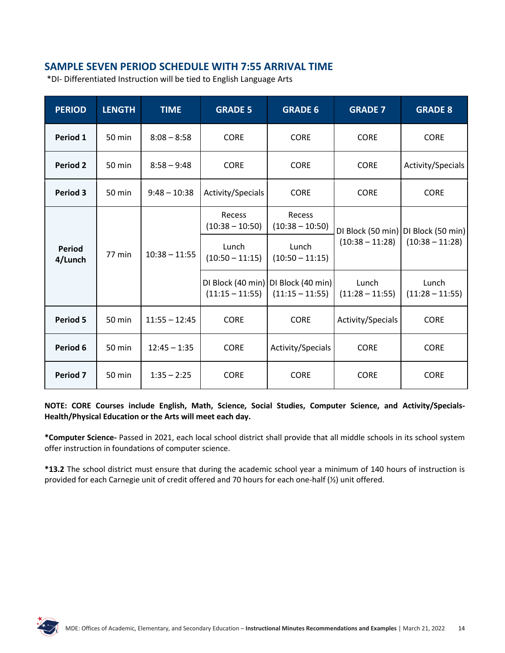## **SAMPLE SEVEN PERIOD SCHEDULE WITH 7:55 ARRIVAL TIME**

\*DI- Differentiated Instruction will be tied to English Language Arts

| <b>PERIOD</b>            | <b>LENGTH</b>    | <b>TIME</b>     | <b>GRADE 5</b>                         | <b>GRADE 6</b>                                                                    | <b>GRADE 7</b>             | <b>GRADE 8</b>                                               |
|--------------------------|------------------|-----------------|----------------------------------------|-----------------------------------------------------------------------------------|----------------------------|--------------------------------------------------------------|
| Period 1                 | $50 \text{ min}$ | $8:08 - 8:58$   | <b>CORE</b>                            | <b>CORE</b>                                                                       | <b>CORE</b>                | <b>CORE</b>                                                  |
| <b>Period 2</b>          | 50 min           | $8:58 - 9:48$   | <b>CORE</b>                            | <b>CORE</b>                                                                       | <b>CORE</b>                | Activity/Specials                                            |
| Period 3                 | 50 min           | $9:48 - 10:38$  | Activity/Specials                      | <b>CORE</b>                                                                       | <b>CORE</b>                | <b>CORE</b>                                                  |
| <b>Period</b><br>4/Lunch | 77 min           | $10:38 - 11:55$ | Recess<br>$(10:38 - 10:50)$<br>Lunch   | Recess<br>$(10:38 - 10:50)$<br>Lunch                                              | $(10:38 - 11:28)$          | DI Block (50 min)   DI Block (50 min)  <br>$(10:38 - 11:28)$ |
|                          |                  |                 | $(10:50 - 11:15)$<br>$(11:15 - 11:55)$ | $(10:50 - 11:15)$<br>DI Block (40 min)   DI Block (40 min)  <br>$(11:15 - 11:55)$ | Lunch<br>$(11:28 - 11:55)$ | Lunch<br>$(11:28 - 11:55)$                                   |
| <b>Period 5</b>          | 50 min           | $11:55 - 12:45$ | <b>CORE</b>                            | <b>CORE</b>                                                                       | Activity/Specials          | <b>CORE</b>                                                  |
| Period 6                 | 50 min           | $12:45 - 1:35$  | <b>CORE</b>                            | Activity/Specials                                                                 | <b>CORE</b>                | <b>CORE</b>                                                  |
| Period 7                 | 50 min           | $1:35 - 2:25$   | <b>CORE</b>                            | <b>CORE</b>                                                                       | <b>CORE</b>                | <b>CORE</b>                                                  |

**NOTE: CORE Courses include English, Math, Science, Social Studies, Computer Science, and Activity/Specials-Health/Physical Education or the Arts will meet each day.**

**\*Computer Science-** Passed in 2021, each local school district shall provide that all middle schools in its school system offer instruction in foundations of computer science.

**\*13.2** The school district must ensure that during the academic school year a minimum of 140 hours of instruction is provided for each Carnegie unit of credit offered and 70 hours for each one-half (½) unit offered.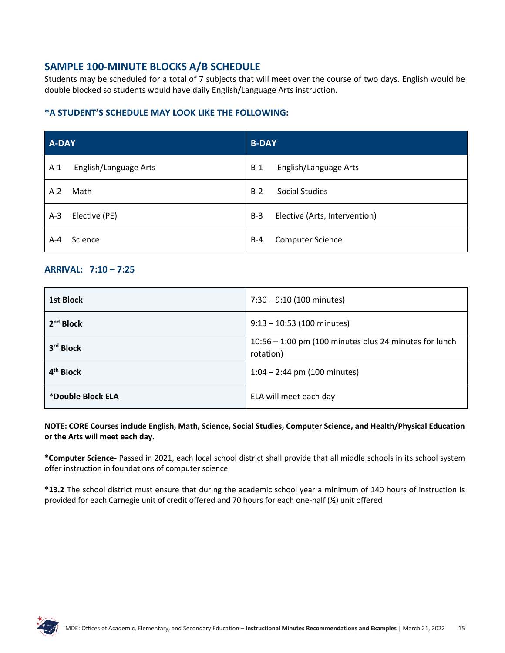## **SAMPLE 100-MINUTE BLOCKS A/B SCHEDULE**

Students may be scheduled for a total of 7 subjects that will meet over the course of two days. English would be double blocked so students would have daily English/Language Arts instruction.

#### **\*A STUDENT'S SCHEDULE MAY LOOK LIKE THE FOLLOWING:**

| A-DAY |                       | <b>B-DAY</b> |                               |  |
|-------|-----------------------|--------------|-------------------------------|--|
| $A-1$ | English/Language Arts | $B-1$        | English/Language Arts         |  |
| $A-2$ | Math                  | $B-2$        | <b>Social Studies</b>         |  |
| $A-3$ | Elective (PE)         | $B-3$        | Elective (Arts, Intervention) |  |
| A-4   | Science               | $B-4$        | <b>Computer Science</b>       |  |

#### **ARRIVAL: 7:10 – 7:25**

| 1st Block             | $7:30 - 9:10$ (100 minutes)                                           |
|-----------------------|-----------------------------------------------------------------------|
| 2 <sup>nd</sup> Block | $9:13 - 10:53$ (100 minutes)                                          |
| 3rd Block             | $10:56 - 1:00$ pm (100 minutes plus 24 minutes for lunch<br>rotation) |
| 4 <sup>th</sup> Block | $1:04 - 2:44$ pm (100 minutes)                                        |
| *Double Block ELA     | ELA will meet each day                                                |

**NOTE: CORE Courses include English, Math, Science, Social Studies, Computer Science, and Health/Physical Education or the Arts will meet each day.**

**\*Computer Science-** Passed in 2021, each local school district shall provide that all middle schools in its school system offer instruction in foundations of computer science.

**\*13.2** The school district must ensure that during the academic school year a minimum of 140 hours of instruction is provided for each Carnegie unit of credit offered and 70 hours for each one-half (½) unit offered